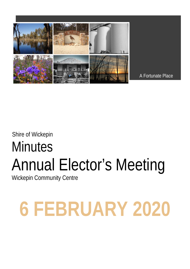

A Fortunate Place

# Shire of Wickepin **Minutes** Annual Elector's Meeting

Wickepin Community Centre

# **6 FEBRUARY 2020**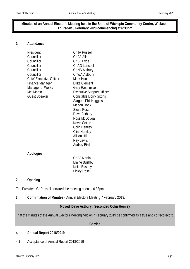# **Minutes of an Annual Elector's Meeting held in the Shire of Wickepin Community Centre, Wickepin Thursday 6 February 2020 commencing at 6:30pm**

### **1. Attendance**

| President                      | Cr JA Russell                    |
|--------------------------------|----------------------------------|
| Councillor                     | Cr FA Allan                      |
| Councillor                     | Cr SJ Hyde                       |
| Councillor                     | Cr AG Lansdell                   |
| Councillor                     | Cr NS Astbury                    |
| Councillor                     | Cr WA Astbury                    |
| <b>Chief Executive Officer</b> | Mark Hook                        |
| Finance Manager                | Erika Clement                    |
| Manager of Works               | Gary Rasmussen                   |
| <b>Mel Martin</b>              | <b>Executive Support Officer</b> |
| <b>Guest Speaker</b>           | Constable Dorry Grzinic          |
|                                | Sargent Phil Huggins             |
|                                | <b>Marion Hook</b>               |
|                                | <b>Steve Rose</b>                |
|                                | Dave Astbury                     |
|                                | Ross McDougall                   |
|                                | Kevin Coxon                      |
|                                | Colin Hemley                     |
|                                | <b>Clint Hemley</b>              |
|                                | <b>Alison Hill</b>               |
|                                | Ray Lewis                        |
|                                | <b>Audrey Bird</b>               |
|                                |                                  |
| Apologies                      |                                  |
|                                | Cr SJ Martin                     |
|                                | Elaine Bushby                    |
|                                | Keith Bushby                     |

# **2. Opening**

The President Cr Russell declared the meeting open at 6.33pm.

**3. Confirmation of Minutes** - Annual Electors Meeting 7 February 2019.

Linley Rose

# **Moved Dave Astbury / Seconded Colin Hemley**

That the minutes of the Annual Electors Meeting held on 7 February 2019 be confirmed as a true and correct record.

#### **Carried**

# **4. Annual Report 2018/2019**

4.1 Acceptance of Annual Report 2018/2019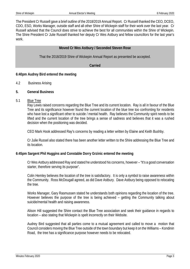The President Cr Russell gave a brief outline of the 2018/2019 Annual Report. Cr Russell thanked the CEO, DCEO, CDO, ESO, Works Manager, outside staff and all other Shire of Wickepin staff for their work over the last year. Cr Russell advised that the Council does strive to achieve the best for all communities within the Shire of Wickepin. The Shire President Cr Julie Russell thanked her deputy Cr Wes Astbury and fellow councillors for the last year's work.

# **Moved Cr Wes Astbury / Seconded Steven Rose**

That the 2018/2019 Shire of Wickepin Annual Report as presented be accepted.

**Carried**

# **6:40pm Audrey Bird entered the meeting**

- 4.2 Business Arising
- **5. General Business**
- 5.1 Blue Tree

Ray Lewis raised concerns regarding the Blue Tree and its current location. Ray is all in favour of the Blue Tree and its significance however found the current location of the blue tree too confronting for residents who have lost a significant other to suicide / mental health. Ray believes the Community spirit needs to be lifted and the current location of the tree brings a sense of sadness and believes that it was a rushed decision when the positioning was decided.

CEO Mark Hook addressed Ray's concerns by reading a letter written by Elaine and Keith Bushby.

Cr Julie Russel also stated there has been another letter written to the Shire addressing the Blue Tree and its location.

# **6:45pm Sargent Phil Huggins and Constable Dorry Grzinic entered the meeting**

Cr Wes Astbury addressed Ray and stated he understood his concerns, however – "It's a good conversation starter, therefore serving its purpose".

Colin Hemley believes the location of the tree is satisfactory. It is only a symbol to raise awareness within the Community. Ross McDougall agreed, as did Dave Astbury. Dave Astbury being opposed to relocating the tree.

Works Manager, Gary Rasmussen stated he understands both opinions regarding the location of the tree. However believes the purpose of the tree is being achieved – getting the Community talking about suicide/mental health and raising awareness.

Alison Hill suggested the Shire contact the Blue Tree association and seek their guidance in regards to location – also stating that Wickepin is spelt incorrectly on their Website.

Audrey Bird suggested that all parties come to a mutual agreement and called to move a motion that Council considers moving the Blue Tree outside of the town boundary but keep it on the Williams – Kondinin Road, the tree has a significance purpose however needs to be relocated.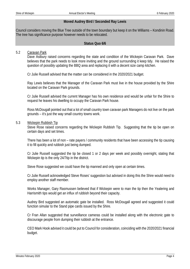### **Moved Audrey Bird / Seconded Ray Lewis**

Council considers moving the Blue Tree outside of the town boundary but keep it on the Williams – Kondinin Road. The tree has significance purpose however needs to be relocated.

#### **Status Quo 6/6**

#### 5.2 Caravan Park

Dave Astbury raised concerns regarding the state and condition of the Wickepin Caravan Park. Dave believes that the park needs to look more inviting and the ground surrounding it keep tidy. He raised the question of possibly updating the BBQ area and replacing it with a decent size camp kitchen.

Cr Julie Russell advised that the matter can be considered in the 2020/2021 budget.

Ray Lewis believes that the Manager of the Caravan Park must live in the house provided by the Shire located on the Caravan Park grounds.

Cr Julie Russell advised the current Manager has his own residence and would be unfair for the Shire to request he leaves his dwelling to occupy the Caravan Park house.

Ross McDougall pointed out that a lot of small country town caravan park Managers do not live on the park grounds – it's just the way small country towns work.

#### 5.3 Wickepin Rubbish Tip

Steve Rose raised concerns regarding the Wickepin Rubbish Tip. Suggesting that the tip be open on certain days and set times.

There has been a lot of non – rate payers / community residents that have been accessing the tip causing it to fill quickly and rubbish just being dumped.

Cr Julie Russell suggested the tip be closed 1 or 2 days per week and possibly overnight, stating that Wickepin tip is the only 24/7tip in the district.

Steve Rose suggested we could have the tip manned and only open at certain times.

Cr Julie Russell acknowledged Steve Roses' suggestion but advised in doing this the Shire would need to employ another staff member.

Works Manager, Gary Rasmussen believed that if Wickepin were to man the tip then the Yealering and Harrismith tips would get an influx of rubbish beyond their capacity.

Audrey Bird suggested an automatic gate be installed. Ross McDougall agreed and suggested it could function simular to the Stand pipe cards issued by the Shire.

Cr Fran Allan suggested that surveillance cameras could be installed along with the electronic gate to discourage people from dumping their rubbish at the entrance.

CEO Mark Hook advised it could be put to Council for consideration, coinciding with the 2020/2021 financial budget.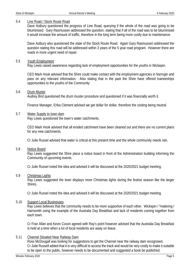#### 5.4 Line Road / Stock Route Road

Dave Astbury questioned the progress of Line Road, querying if the whole of the road was going to be bituminised. Gary Rasmussen addressed the question, stating that if all of the road was to be bituminised it would increase the amount of traffic, therefore in the long term being more costly due to maintenance.

Dave Astbury also questioned the state of the Stock Route Road. Again Gary Rasmussen addressed the question stating this road will be addressed within 3 years of the 5 year road program. However there are roads in more urgent need of repair.

#### 5.5 Youth Employment

Ray Lewis raised awareness regarding lack of employment opportunities for the youths in Wickepin.

CEO Mark Hook advised that the Shire could make contact with the employment agencies in Narrogin and pass on any relevant information. Also stating that in the past the Shire have offered traineeships opportunities to the youths of the Community

#### 5.6 Drum Muster

Audrey Bird questioned the drum muster procedure and questioned if it was financially worth it.

Finance Manager, Erika Clement advised we get dollar for dollar, therefore the costing being neutral.

#### 5.7 Water Supply to town dam

Ray Lewis questioned the town's water catchments.

CEO Mark Hook advised that all eroded catchment have been cleaned out and there are no current plans for any new catchments.

Cr Julie Russel advised that water is critical at this present time and the whole community needs rain.

#### 5.8 Notice Board

Ray Lewis suggested the Shire place a notice board in front of the Administration building informing the Community of upcoming events.

Cr Julie Russel noted the idea and advised it will be discussed at the 2020/2021 budget meeting.

#### 5.9 Christmas Lights

Ray Lewis suggested the town displays more Christmas lights during the festive season like the larger Shires.

Cr Julie Russel noted the idea and advised it will be discussed at the 2020/2021 budget meeting.

#### 5.10 Support Local Businesses

Ray Lewis believes that the community needs to be more supportive of each other. Wickepin / Yealering / Harrismith using the example of the Australia Day Breakfast and lack of residents coming together from each town.

Cr Fran Allan and Kevin Coxon agreed with Ray's point however advised that the Australia Day Breakfast is held at a time when a lot of local residents are away on leave.

#### 5.11 Channel Situated Near Railway Dam

Ross McDougall was looking for suggestions to get the Channel near the railway dam recognised. Cr Julie Russell added that it is very difficult to access the track and would be very costly to make it suitable to be open to the public, however needs to be documented and suggested a book be published.